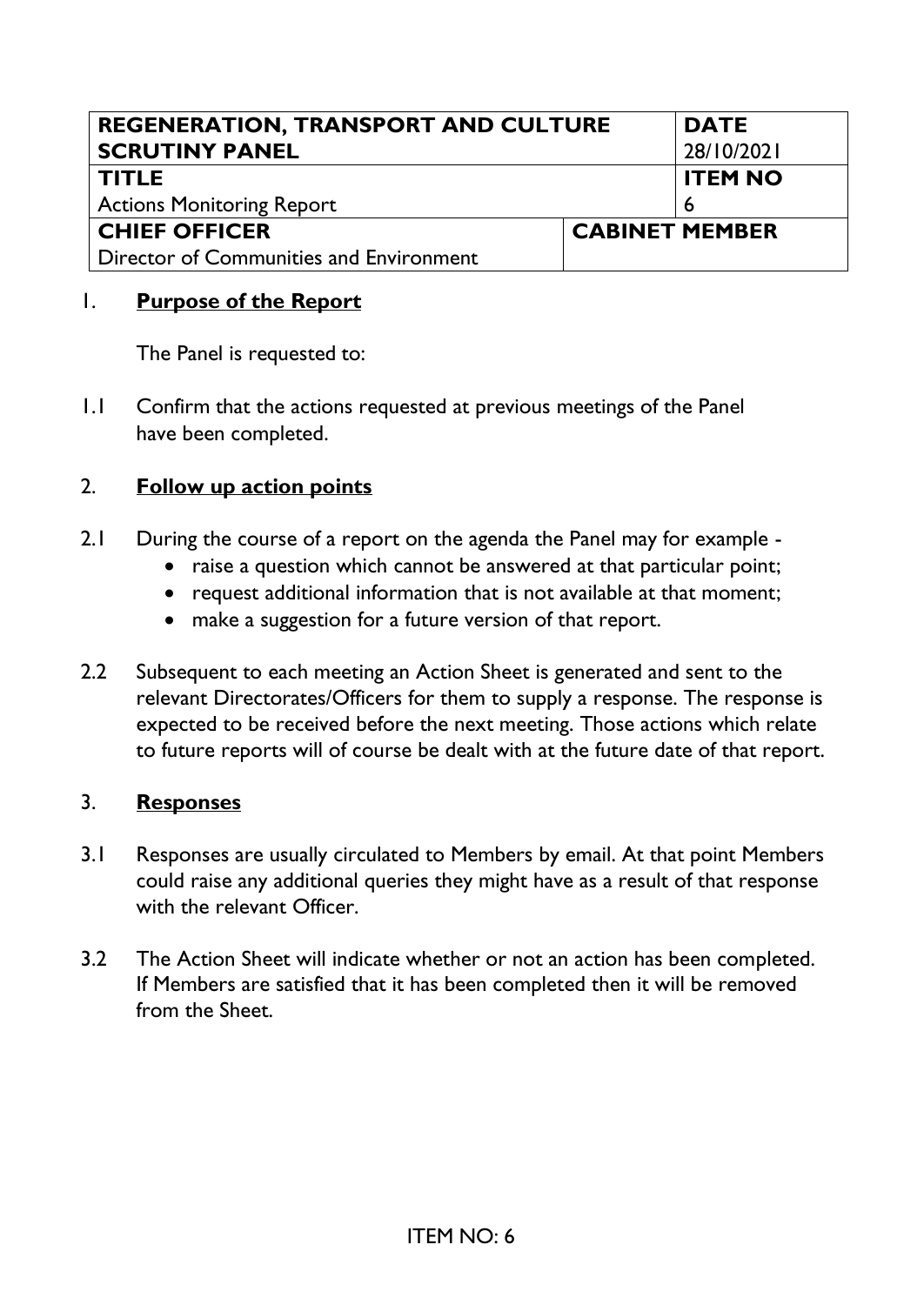| <b>REGENERATION, TRANSPORT AND CULTURE</b> |  | <b>DATE</b>           |
|--------------------------------------------|--|-----------------------|
| <b>SCRUTINY PANEL</b>                      |  | 28/10/2021            |
| <b>TITLE</b>                               |  | <b>ITEM NO</b>        |
| <b>Actions Monitoring Report</b>           |  |                       |
| <b>CHIEF OFFICER</b>                       |  | <b>CABINET MEMBER</b> |
| Director of Communities and Environment    |  |                       |

## 1. **Purpose of the Report**

The Panel is requested to:

1.1 Confirm that the actions requested at previous meetings of the Panel have been completed.

## 2. **Follow up action points**

- 2.1 During the course of a report on the agenda the Panel may for example
	- raise a question which cannot be answered at that particular point;
	- request additional information that is not available at that moment;
	- make a suggestion for a future version of that report.
- 2.2 Subsequent to each meeting an Action Sheet is generated and sent to the relevant Directorates/Officers for them to supply a response. The response is expected to be received before the next meeting. Those actions which relate to future reports will of course be dealt with at the future date of that report.

## 3. **Responses**

- 3.1 Responses are usually circulated to Members by email. At that point Members could raise any additional queries they might have as a result of that response with the relevant Officer.
- 3.2 The Action Sheet will indicate whether or not an action has been completed. If Members are satisfied that it has been completed then it will be removed from the Sheet.